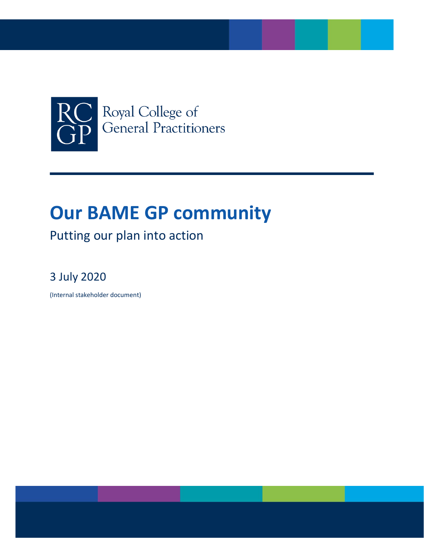

# **Our BAME GP community**

# Putting our plan into action

# 3 July 2020

(Internal stakeholder document)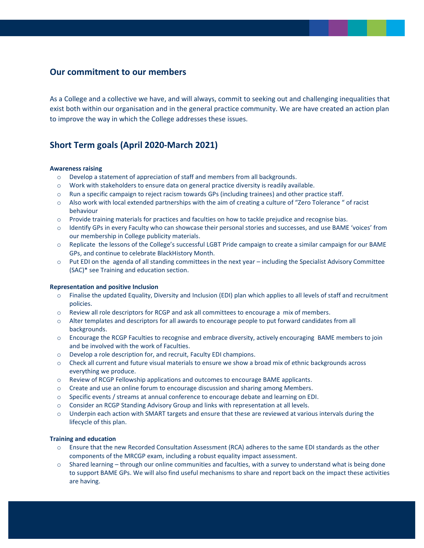### **Our commitment to our members**

As a College and a collective we have, and will always, commit to seeking out and challenging inequalities that exist both within our organisation and in the general practice community. We are have created an action plan to improve the way in which the College addresses these issues.

### **Short Term goals (April 2020-March 2021)**

#### **Awareness raising**

- o Develop a statement of appreciation of staff and members from all backgrounds.
- o Work with stakeholders to ensure data on general practice diversity is readily available.
- o Run a specific campaign to reject racism towards GPs (including trainees) and other practice staff.
- o Also work with local extended partnerships with the aim of creating a culture of "Zero Tolerance " of racist behaviour
- o Provide training materials for practices and faculties on how to tackle prejudice and recognise bias.
- o Identify GPs in every Faculty who can showcase their personal stories and successes, and use BAME 'voices' from our membership in College publicity materials.
- $\circ$  Replicate the lessons of the College's successful LGBT Pride campaign to create a similar campaign for our BAME GPs, and continue to celebrate BlackHistory Month.
- o Put EDI on the agenda of all standing committees in the next year including the Specialist Advisory Committee (SAC)\* see Training and education section.

#### **Representation and positive Inclusion**

- $\circ$  Finalise the updated Equality, Diversity and Inclusion (EDI) plan which applies to all levels of staff and recruitment policies.
- o Review all role descriptors for RCGP and ask all committees to encourage a mix of members.
- o Alter templates and descriptors for all awards to encourage people to put forward candidates from all backgrounds.
- o Encourage the RCGP Faculties to recognise and embrace diversity, actively encouraging BAME members to join and be involved with the work of Faculties.
- o Develop a role description for, and recruit, Faculty EDI champions.
- o Check all current and future visual materials to ensure we show a broad mix of ethnic backgrounds across everything we produce.
- o Review of RCGP Fellowship applications and outcomes to encourage BAME applicants.
- o Create and use an online forum to encourage discussion and sharing among Members.
- o Specific events / streams at annual conference to encourage debate and learning on EDI.
- o Consider an RCGP Standing Advisory Group and links with representation at all levels.
- o Underpin each action with SMART targets and ensure that these are reviewed at various intervals during the lifecycle of this plan.

#### **Training and education**

- o Ensure that the new Recorded Consultation Assessment (RCA) adheres to the same EDI standards as the other components of the MRCGP exam, including a robust equality impact assessment.
- $\circ$  Shared learning through our online communities and faculties, with a survey to understand what is being done to support BAME GPs. We will also find useful mechanisms to share and report back on the impact these activities are having.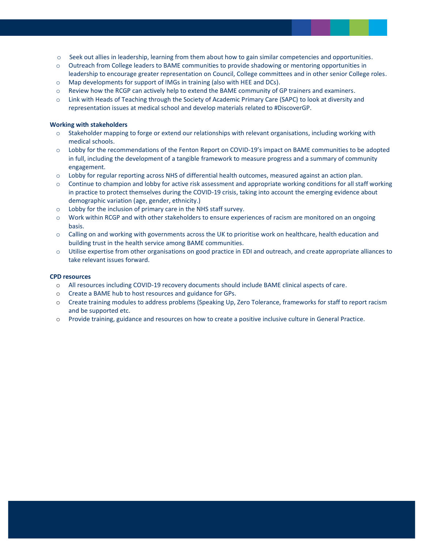- o Seek out allies in leadership, learning from them about how to gain similar competencies and opportunities.
- o Outreach from College leaders to BAME communities to provide shadowing or mentoring opportunities in leadership to encourage greater representation on Council, College committees and in other senior College roles.
- o Map developments for support of IMGs in training (also with HEE and DCs).
- o Review how the RCGP can actively help to extend the BAME community of GP trainers and examiners.
- o Link with Heads of Teaching through the Society of Academic Primary Care (SAPC) to look at diversity and representation issues at medical school and develop materials related to #DiscoverGP.

#### **Working with stakeholders**

- o Stakeholder mapping to forge or extend our relationships with relevant organisations, including working with medical schools.
- o Lobby for the recommendations of the Fenton Report on COVID-19's impact on BAME communities to be adopted in full, including the development of a tangible framework to measure progress and a summary of community engagement.
- $\circ$  Lobby for regular reporting across NHS of differential health outcomes, measured against an action plan.
- o Continue to champion and lobby for active risk assessment and appropriate working conditions for all staff working in practice to protect themselves during the COVID-19 crisis, taking into account the emerging evidence about demographic variation (age, gender, ethnicity.)
- o Lobby for the inclusion of primary care in the NHS staff survey.
- o Work within RCGP and with other stakeholders to ensure experiences of racism are monitored on an ongoing basis.
- o Calling on and working with governments across the UK to prioritise work on healthcare, health education and building trust in the health service among BAME communities.
- o Utilise expertise from other organisations on good practice in EDI and outreach, and create appropriate alliances to take relevant issues forward.

#### **CPD resources**

- o All resources including COVID-19 recovery documents should include BAME clinical aspects of care.
- o Create a BAME hub to host resources and guidance for GPs.
- o Create training modules to address problems (Speaking Up, Zero Tolerance, frameworks for staff to report racism and be supported etc.
- o Provide training, guidance and resources on how to create a positive inclusive culture in General Practice.